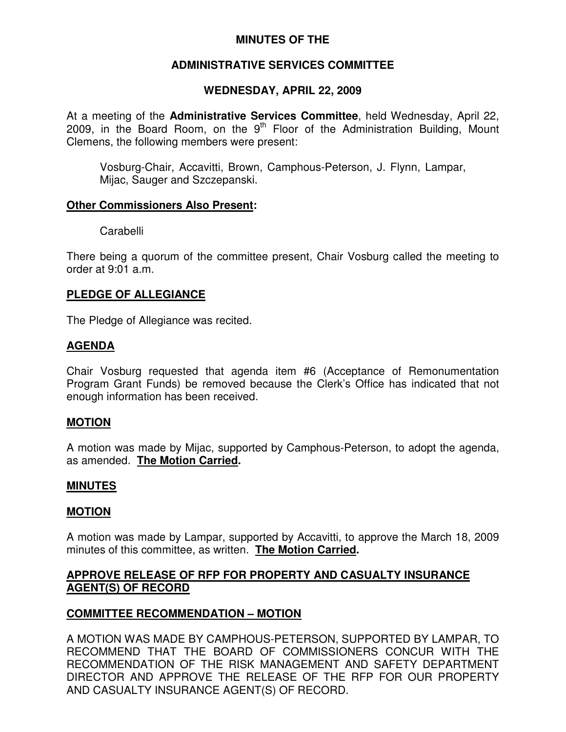# **MINUTES OF THE**

# **ADMINISTRATIVE SERVICES COMMITTEE**

# **WEDNESDAY, APRIL 22, 2009**

At a meeting of the **Administrative Services Committee**, held Wednesday, April 22, 2009, in the Board Room, on the 9<sup>th</sup> Floor of the Administration Building, Mount Clemens, the following members were present:

Vosburg-Chair, Accavitti, Brown, Camphous-Peterson, J. Flynn, Lampar, Mijac, Sauger and Szczepanski.

#### **Other Commissioners Also Present:**

Carabelli

There being a quorum of the committee present, Chair Vosburg called the meeting to order at 9:01 a.m.

# **PLEDGE OF ALLEGIANCE**

The Pledge of Allegiance was recited.

# **AGENDA**

Chair Vosburg requested that agenda item #6 (Acceptance of Remonumentation Program Grant Funds) be removed because the Clerk's Office has indicated that not enough information has been received.

# **MOTION**

A motion was made by Mijac, supported by Camphous-Peterson, to adopt the agenda, as amended. **The Motion Carried.**

#### **MINUTES**

# **MOTION**

A motion was made by Lampar, supported by Accavitti, to approve the March 18, 2009 minutes of this committee, as written. **The Motion Carried.**

# **APPROVE RELEASE OF RFP FOR PROPERTY AND CASUALTY INSURANCE AGENT(S) OF RECORD**

# **COMMITTEE RECOMMENDATION – MOTION**

A MOTION WAS MADE BY CAMPHOUS-PETERSON, SUPPORTED BY LAMPAR, TO RECOMMEND THAT THE BOARD OF COMMISSIONERS CONCUR WITH THE RECOMMENDATION OF THE RISK MANAGEMENT AND SAFETY DEPARTMENT DIRECTOR AND APPROVE THE RELEASE OF THE RFP FOR OUR PROPERTY AND CASUALTY INSURANCE AGENT(S) OF RECORD.